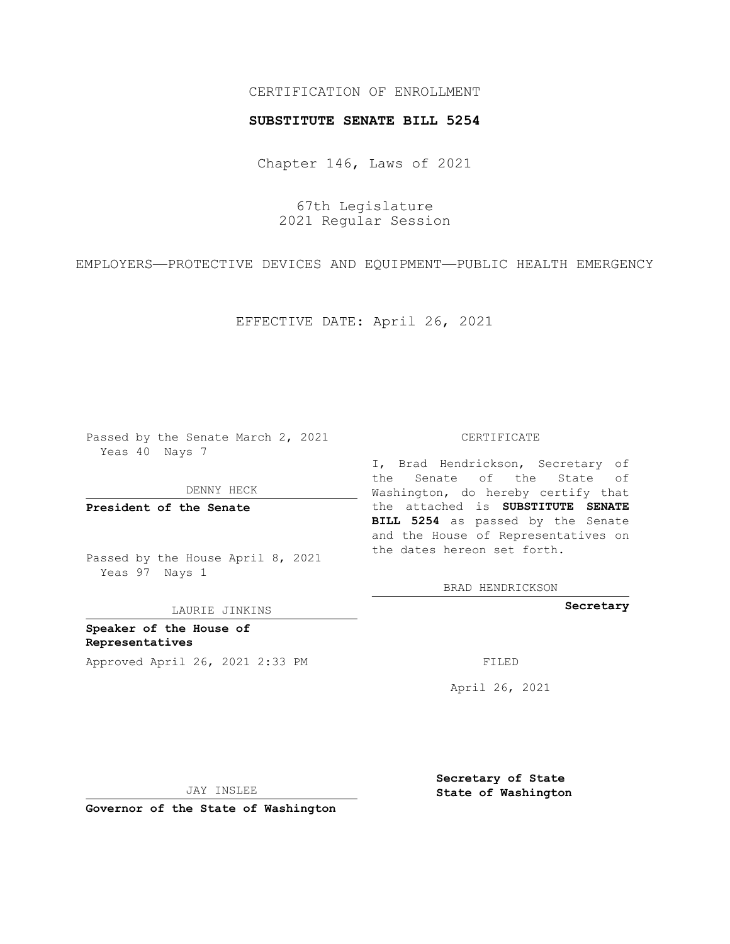## CERTIFICATION OF ENROLLMENT

## **SUBSTITUTE SENATE BILL 5254**

Chapter 146, Laws of 2021

67th Legislature 2021 Regular Session

EMPLOYERS—PROTECTIVE DEVICES AND EQUIPMENT—PUBLIC HEALTH EMERGENCY

EFFECTIVE DATE: April 26, 2021

Passed by the Senate March 2, 2021 Yeas 40 Nays 7

DENNY HECK

**President of the Senate**

Passed by the House April 8, 2021 Yeas 97 Nays 1

LAURIE JINKINS

**Speaker of the House of Representatives** Approved April 26, 2021 2:33 PM FILED

## CERTIFICATE

I, Brad Hendrickson, Secretary of the Senate of the State of Washington, do hereby certify that the attached is **SUBSTITUTE SENATE BILL 5254** as passed by the Senate and the House of Representatives on the dates hereon set forth.

BRAD HENDRICKSON

**Secretary**

April 26, 2021

JAY INSLEE

**Governor of the State of Washington**

**Secretary of State State of Washington**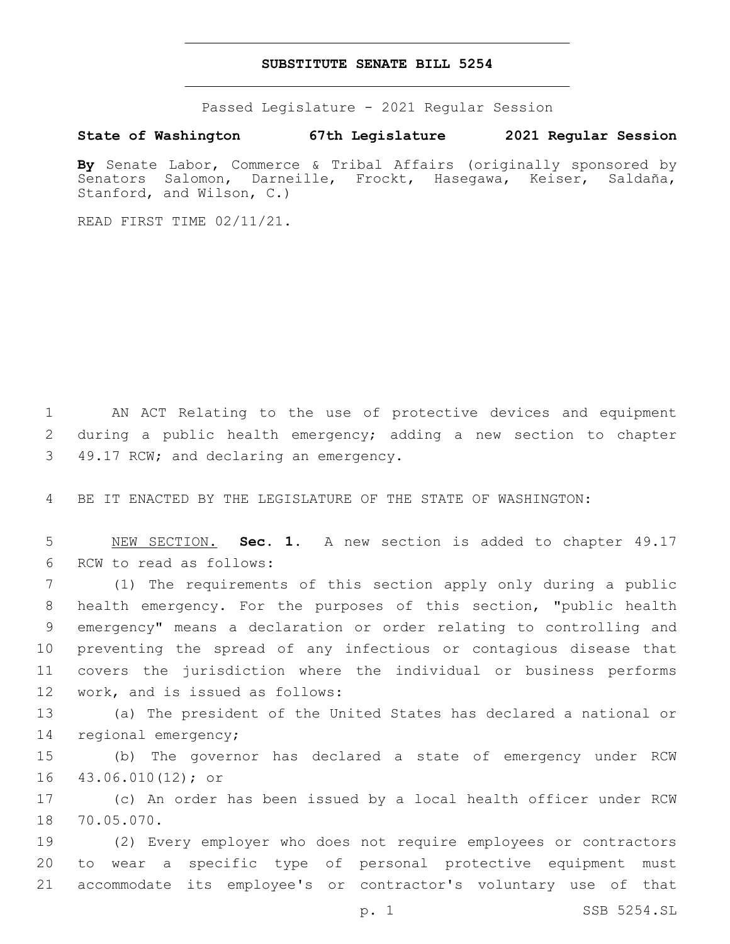## **SUBSTITUTE SENATE BILL 5254**

Passed Legislature - 2021 Regular Session

**State of Washington 67th Legislature 2021 Regular Session**

**By** Senate Labor, Commerce & Tribal Affairs (originally sponsored by Senators Salomon, Darneille, Frockt, Hasegawa, Keiser, Saldaña, Stanford, and Wilson, C.)

READ FIRST TIME 02/11/21.

1 AN ACT Relating to the use of protective devices and equipment 2 during a public health emergency; adding a new section to chapter 3 49.17 RCW; and declaring an emergency.

4 BE IT ENACTED BY THE LEGISLATURE OF THE STATE OF WASHINGTON:

5 NEW SECTION. **Sec. 1.** A new section is added to chapter 49.17 6 RCW to read as follows:

 (1) The requirements of this section apply only during a public health emergency. For the purposes of this section, "public health emergency" means a declaration or order relating to controlling and preventing the spread of any infectious or contagious disease that covers the jurisdiction where the individual or business performs 12 work, and is issued as follows:

13 (a) The president of the United States has declared a national or 14 regional emergency;

15 (b) The governor has declared a state of emergency under RCW 16 43.06.010(12); or

17 (c) An order has been issued by a local health officer under RCW 18 70.05.070.

19 (2) Every employer who does not require employees or contractors 20 to wear a specific type of personal protective equipment must 21 accommodate its employee's or contractor's voluntary use of that